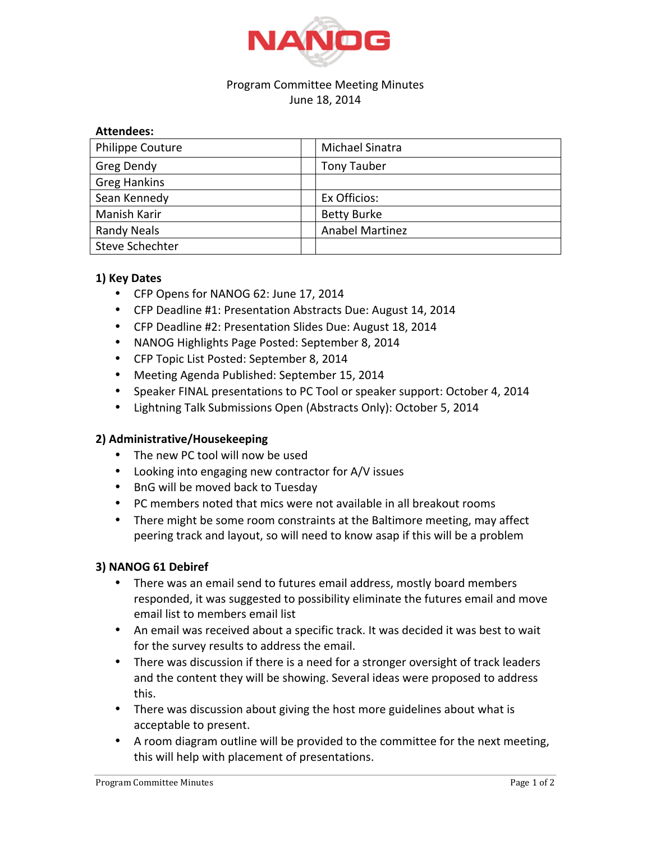

## Program Committee Meeting Minutes June 18, 2014

#### **Attendees:**

| <b>Philippe Couture</b> | Michael Sinatra        |
|-------------------------|------------------------|
| Greg Dendy              | <b>Tony Tauber</b>     |
| <b>Greg Hankins</b>     |                        |
| Sean Kennedy            | Ex Officios:           |
| Manish Karir            | <b>Betty Burke</b>     |
| <b>Randy Neals</b>      | <b>Anabel Martinez</b> |
| Steve Schechter         |                        |

### **1) Key Dates**

- CFP Opens for NANOG 62: June 17, 2014
- CFP Deadline #1: Presentation Abstracts Due: August 14, 2014
- CFP Deadline #2: Presentation Slides Due: August 18, 2014
- NANOG Highlights Page Posted: September 8, 2014
- CFP Topic List Posted: September 8, 2014
- Meeting Agenda Published: September 15, 2014
- Speaker FINAL presentations to PC Tool or speaker support: October 4, 2014
- Lightning Talk Submissions Open (Abstracts Only): October 5, 2014

### **2) Administrative/Housekeeping**

- The new PC tool will now be used
- Looking into engaging new contractor for A/V issues
- BnG will be moved back to Tuesday
- PC members noted that mics were not available in all breakout rooms
- There might be some room constraints at the Baltimore meeting, may affect peering track and layout, so will need to know asap if this will be a problem

### **3) NANOG 61 Debiref**

- There was an email send to futures email address, mostly board members responded, it was suggested to possibility eliminate the futures email and move email list to members email list
- An email was received about a specific track. It was decided it was best to wait for the survey results to address the email.
- There was discussion if there is a need for a stronger oversight of track leaders and the content they will be showing. Several ideas were proposed to address this.
- There was discussion about giving the host more guidelines about what is acceptable to present.
- A room diagram outline will be provided to the committee for the next meeting, this will help with placement of presentations.